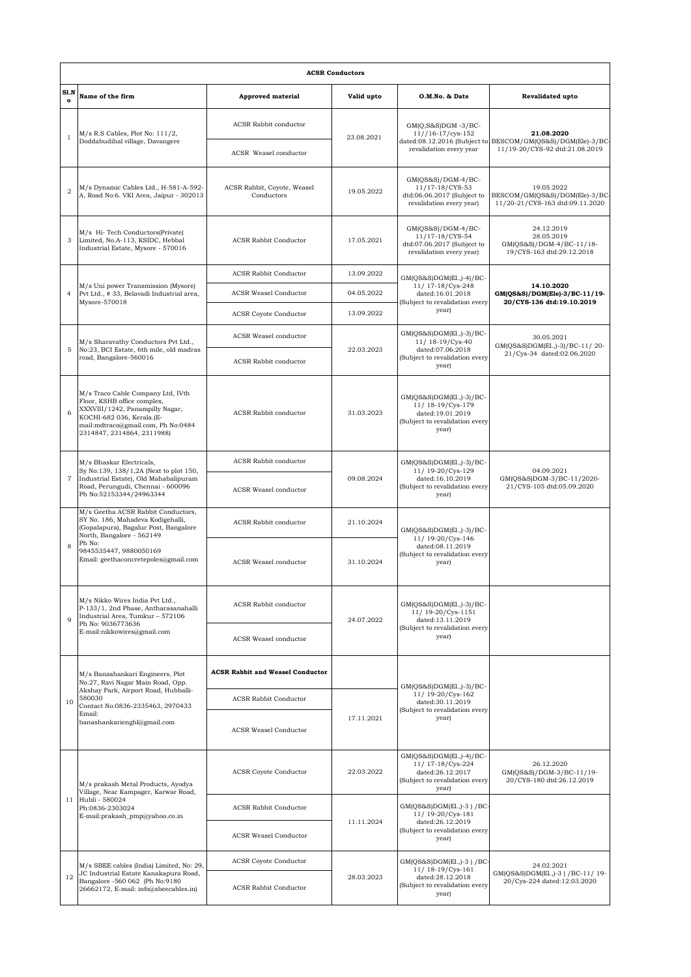|                      | <b>ACSR Conductors</b>                                                                                                                                                                                                    |                                           |            |                                                                                                                |                                                                                                             |  |  |  |  |
|----------------------|---------------------------------------------------------------------------------------------------------------------------------------------------------------------------------------------------------------------------|-------------------------------------------|------------|----------------------------------------------------------------------------------------------------------------|-------------------------------------------------------------------------------------------------------------|--|--|--|--|
| Sl.N<br>$\mathbf{o}$ | Name of the firm                                                                                                                                                                                                          | <b>Approved material</b>                  | Valid upto | O.M.No. & Date                                                                                                 | <b>Revalidated upto</b>                                                                                     |  |  |  |  |
| $\mathbf{1}$         | M/s R.S Cables, Plot No: 111/2,<br>Doddabudihal village, Davangere                                                                                                                                                        | <b>ACSR Rabbit conductor</b>              | 23.08.2021 | $GM(Q,S&S)DGM -3/BC-$<br>$11//16-17/cvs-152$<br>revalidation every year                                        | 21.08.2020<br>dated:08.12.2016 (Subject to BESCOM/GM(QS&S)/DGM(Ele)-3/BC-<br>11/19-20/CYS-92 dtd:21.08.2019 |  |  |  |  |
|                      |                                                                                                                                                                                                                           | ACSR Weasel conductor                     |            |                                                                                                                |                                                                                                             |  |  |  |  |
| $\overline{2}$       | M/s Dynamic Cables Ltd., H-581-A-592-<br>A, Road No:6. VKI Area, Jaipur - 302013                                                                                                                                          | ACSR Rabbit, Coyote, Weasel<br>Conductors | 19.05.2022 | $GM(QS&S)/DGM-4/BC-$<br>11/17-18/CYS-53<br>dtd:06.06.2017 (Subject to<br>revalidation every year)              | 19.05.2022<br>BESCOM/GM(QS&S)/DGM(Ele)-3/BC-<br>11/20-21/CYS-163 dtd:09.11.2020                             |  |  |  |  |
| 3                    | M/s Hi-Tech Conductors(Private)<br>Limited, No.A-113, KSIDC, Hebbal<br>Industrial Estate, Mysore - 570016                                                                                                                 | <b>ACSR Rabbit Conductor</b>              | 17.05.2021 | $GM(QS&S)/DGM-4/BC-$<br>11/17-18/CYS-54<br>dtd:07.06.2017 (Subject to<br>revalidation every year)              | 24.12.2019<br>28.05.2019<br>GM(QS&S)/DGM-4/BC-11/18-<br>19/CYS-163 dtd:29.12.2018                           |  |  |  |  |
|                      | M/s Uni power Transmission (Mysore)<br>Pvt Ltd., # 33, Belavadi Industrial area,<br>Mysore-570018                                                                                                                         | <b>ACSR Rabbit Conductor</b>              | 13.09.2022 | GM(QS&S)DGM(El.,)-4)/BC-<br>11/ 17-18/Cys-248<br>dated:16.01.2018<br>(Subject to revalidation every<br>year)   | 14.10.2020<br>GM(QS&S)/DGM(Ele)-3/BC-11/19-<br>20/CYS-136 dtd:19.10.2019                                    |  |  |  |  |
| $\overline{4}$       |                                                                                                                                                                                                                           | <b>ACSR Weasel Conductor</b>              | 04.05.2022 |                                                                                                                |                                                                                                             |  |  |  |  |
|                      |                                                                                                                                                                                                                           | <b>ACSR Coyote Conductor</b>              | 13.09.2022 |                                                                                                                |                                                                                                             |  |  |  |  |
|                      | M/s Sharavathy Conductors Pvt Ltd.,<br>No:23, BCI Estate, 6th mile, old madras<br>road, Bangalore-560016                                                                                                                  | ACSR Weasel conductor                     | 22.03.2023 | GM(QS&S)DGM(El.,)-3)/BC-<br>11/ 18-19/Cys-40<br>dated:07.06.2018<br>(Subject to revalidation every<br>year)    | 30.05.2021<br>GM(QS&S)DGM(El.,)-3)/BC-11/20-<br>21/Cys-34 dated:02.06.2020                                  |  |  |  |  |
| 5                    |                                                                                                                                                                                                                           | <b>ACSR Rabbit conductor</b>              |            |                                                                                                                |                                                                                                             |  |  |  |  |
| 6                    | M/s Traco Cable Company Ltd, IVth<br>Floor, KSHB office complex,<br>XXXVIII/1242, Panampilly Nagar,<br>KOCHI-682 036, Kerala.(E-<br>mail:mdtraco@gmail.com, Ph No:0484<br>2314847, 2314864, 2311988)                      | <b>ACSR Rabbit conductor</b>              | 31.03.2023 | $GM(QS&S)DGM(E1, -3)/BC$<br>11/18-19/Cys-179<br>dated:19.01.2019<br>(Subject to revalidation every<br>year)    |                                                                                                             |  |  |  |  |
|                      | M/s Bhaskar Electricals,<br>Sy No:139, 138/1,2A (Next to plot 150,<br>Industrial Estate), Old Mahabalipuram<br>Road, Perungudi, Chennai - 600096<br>Ph No:52153344/24963344                                               | ACSR Rabbit conductor                     | 09.08.2024 | $GM(QS&S)DGM(E1, -3)/BC$<br>11/19-20/Cys-129<br>dated:16.10.2019<br>(Subject to revalidation every<br>year)    | 04.09.2021<br>GM(QS&S)DGM-3/BC-11/2020-<br>21/CYS-105 dtd:05.09.2020                                        |  |  |  |  |
| $\overline{7}$       |                                                                                                                                                                                                                           | ACSR Weasel conductor                     |            |                                                                                                                |                                                                                                             |  |  |  |  |
|                      | M/s Geetha ACSR Rabbit Conductors,<br>SY No. 186, Mahadeva Kodigehalli,<br>(Gopalapura), Bagalur Post, Bangalore<br>North, Bangalore - 562149<br>Ph No:<br>9845535447, 9880050169<br>Email: geethaconcretepoles@gmail.com | <b>ACSR Rabbit conductor</b>              | 21.10.2024 | GM(QS&S)DGM(El.,)-3)/BC-<br>11/ 19-20/Cys-146<br>dated:08.11.2019<br>(Subject to revalidation every<br>year)   |                                                                                                             |  |  |  |  |
| $\mathbf{8}$         |                                                                                                                                                                                                                           | ACSR Weasel conductor                     | 31.10.2024 |                                                                                                                |                                                                                                             |  |  |  |  |
| $\overline{Q}$       | M/s Nikko Wires India Pvt Ltd.,<br>P-133/1, 2nd Phase, Antharasanahalli<br>Industrial Area, Tumkur - 572106<br>Ph No: 9036773636<br>E-mail:nikkowires@gmail.com                                                           | <b>ACSR Rabbit conductor</b>              | 24.07.2022 | GM(QS&S)DGM(El.,)-3)/BC-<br>11/ 19-20/Cys-1151<br>dated:13.11.2019<br>(Subject to revalidation every<br>year)  |                                                                                                             |  |  |  |  |
|                      |                                                                                                                                                                                                                           | ACSR Weasel conductor                     |            |                                                                                                                |                                                                                                             |  |  |  |  |
|                      | M/s Banashankari Engineers, Plot<br>No.27, Ravi Nagar Main Road, Opp.<br>Akshay Park, Airport Road, Hubballi-<br>580030<br>Contact No:0836-2335463, 2970433<br>Email:<br>banashankarienghl@gmail.com                      | <b>ACSR Rabbit and Weasel Conductor</b>   |            | $GM(QS&S)DGM(E1, -3)/BC$                                                                                       |                                                                                                             |  |  |  |  |
| 10                   |                                                                                                                                                                                                                           | <b>ACSR Rabbit Conductor</b>              | 17.11.2021 | 11/ 19-20/Cys-162<br>dated:30.11.2019<br>(Subject to revalidation every<br>year)                               |                                                                                                             |  |  |  |  |
|                      |                                                                                                                                                                                                                           | <b>ACSR Weasel Conductor</b>              |            |                                                                                                                |                                                                                                             |  |  |  |  |
| 11                   | M/s prakash Metal Products, Ayodya<br>Village, Near Kampager, Karwar Road,<br>Hubli - 580024<br>Ph:0836-2303024<br>E-mail:prakash_pmp@yahoo.co.in                                                                         | <b>ACSR</b> Coyote Conductor              | 22.03.2022 | GM(QS&S)DGM(El.,)-4)/BC-<br>11/ 17-18/Cys-224<br>dated:26.12.2017<br>(Subject to revalidation every<br>year)   | 26.12.2020<br>GM(QS&S)/DGM-3/BC-11/19-<br>20/CYS-180 dtd:26.12.2019                                         |  |  |  |  |
|                      |                                                                                                                                                                                                                           | <b>ACSR Rabbit Conductor</b>              | 11.11.2024 | GM(QS&S)DGM(El.,)-3 ) / BC-<br>11/19-20/Cys-181<br>dated:26.12.2019<br>(Subject to revalidation every<br>year) |                                                                                                             |  |  |  |  |
|                      |                                                                                                                                                                                                                           | <b>ACSR Weasel Conductor</b>              |            |                                                                                                                |                                                                                                             |  |  |  |  |
| 12                   | M/s SBEE cables (India) Limited, No: 29,<br>JC Industrial Estate Kanakapura Road,<br>Bangalore -560 062 (Ph No:9180<br>26662172, E-mail: info@sbeecables.in)                                                              | <b>ACSR Coyote Conductor</b>              | 28.03.2023 | $GM(QS&S)DGM(E1, -3) / BC$<br>11/ 18-19/Cys-161<br>dated:28.12.2018<br>(Subject to revalidation every<br>year) | 24.02.2021                                                                                                  |  |  |  |  |
|                      |                                                                                                                                                                                                                           | <b>ACSR Rabbit Conductor</b>              |            |                                                                                                                | GM(QS&S)DGM(El., )-3 ) / BC-11/ 19-<br>20/Cys-224 dated:12.03.2020                                          |  |  |  |  |